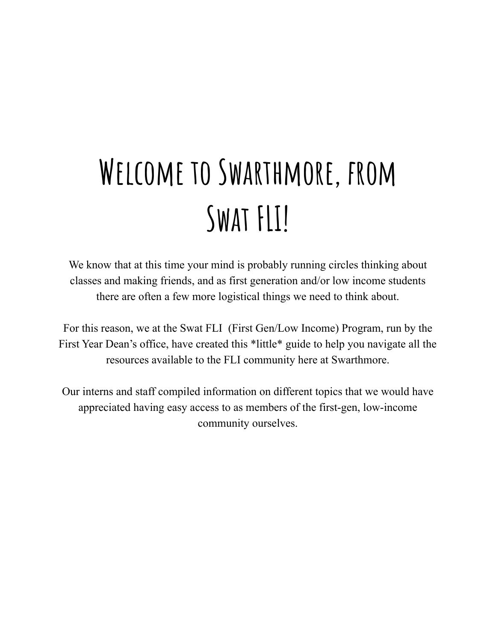## **Welcome to Swarthmore, from Swat FLI!**

We know that at this time your mind is probably running circles thinking about classes and making friends, and as first generation and/or low income students there are often a few more logistical things we need to think about.

For this reason, we at the Swat FLI (First Gen/Low Income) Program, run by the First Year Dean's office, have created this \*little\* guide to help you navigate all the resources available to the FLI community here at Swarthmore.

Our interns and staff compiled information on different topics that we would have appreciated having easy access to as members of the first-gen, low-income community ourselves.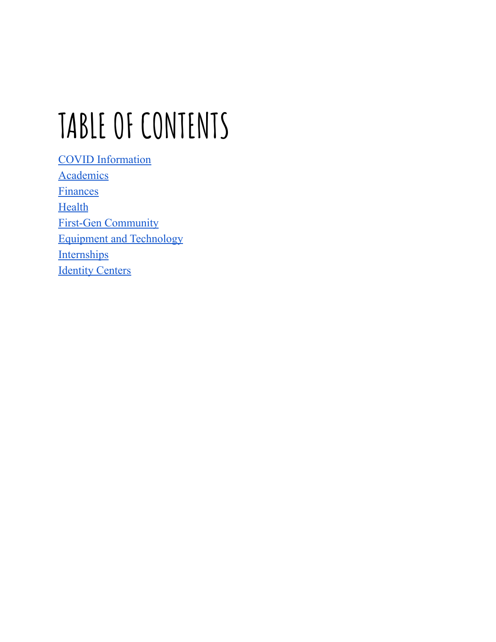# **TABLE OF CONTENTS**

COVID [Information](#page-2-0) **[Academics](#page-3-0)** [Finances](#page-5-0) **[Health](#page-7-0)** First-Gen [Community](#page-12-0) Equipment and [Technology](#page-13-0) **[Internships](#page-14-0) [Identity](#page-15-0) Centers**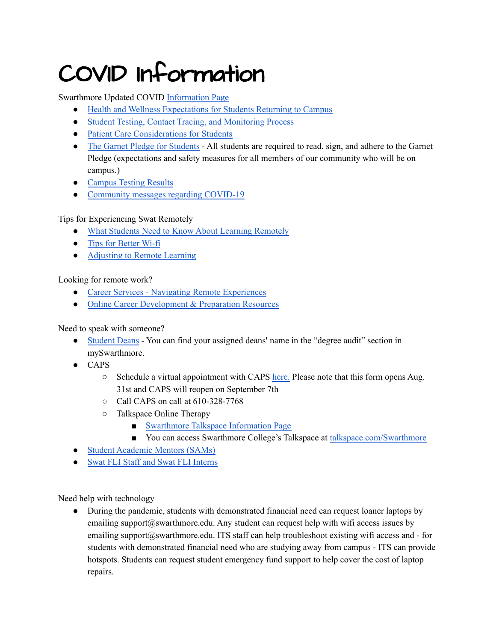### <span id="page-2-0"></span>COVID Information

Swarthmore Updated COVID [Information](https://www.swarthmore.edu/covid-19-information) Page

- Health and Wellness [Expectations](https://www.swarthmore.edu/coronavirus-disease-2019-covid-19-information/health-and-wellness-expectations-students-returning-to) for Students Returning to Campus
- Student Testing, Contact Tracing, and [Monitoring](https://www.swarthmore.edu/coronavirus-disease-2019-covid-19-information/student-testing-contact-tracing-and-monitoring-process) Process
- Patient Care [Considerations](https://www.swarthmore.edu/coronavirus-disease-2019-covid-19-information/patient-care-considerations-students) for Students
- The Garnet Pledge for [Students](https://www.swarthmore.edu/coronavirus-disease-2019-covid-19-information/garnet-pledge-students) All students are required to read, sign, and adhere to the Garnet Pledge (expectations and safety measures for all members of our community who will be on campus.)
- [Campus](https://www.swarthmore.edu/coronavirus-disease-2019-covid-19-information/testing-results) Testing Results
- [Community](https://www.swarthmore.edu/coronavirus-disease-2019-covid-19-information/community-messages-regarding-covid-19%E2%80%8B%E2%80%8B%E2%80%8B%E2%80%8B%E2%80%8B%E2%80%8B) messages regarding COVID-19

#### Tips for Experiencing Swat Remotely

- What Students Need to Know About Learning [Remotely](https://kb.swarthmore.edu/display/remote/Learning+Remotely)
- Tips for [Better](https://kb.swarthmore.edu/display/remote/Tips+for+Better+WiFi) Wi-fi
- [Adjusting](https://www.swarthmore.edu/sites/default/files/assets/documents/office-academic-success/Adjusting%20to%20Remote%20Learning%20Spring%202020%20advice.pdf) to Remote Learning

#### Looking for remote work?

- Career Services Navigating Remote [Experiences](https://www.swarthmore.edu/career-services/navigating-remote-experiences)
- Online Career [Development](https://www.swarthmore.edu/career-services/online-career-development-preparation-resources) & Preparation Resources

#### Need to speak with someone?

- [Student](https://www.swarthmore.edu/dean-students/student-deans) Deans You can find your assigned deans' name in the "degree audit" section in mySwarthmore.
- CAPS
	- $\circ$  Schedule a virtual appointment with CAPS [here.](https://www.swarthmore.edu/counseling-and-psychological-services/caps-request-to-schedule-appointment) Please note that this form opens Aug. 31st and CAPS will reopen on September 7th
	- Call CAPS on call at 610-328-7768
	- Talkspace Online Therapy
		- [Swarthmore](https://www.swarthmore.edu/counseling-and-psychological-services/talkspace) Talkspace Information Page
		- You can access Swarthmore College's Talkspace at [talkspace.com/Swarthmore](https://www.talkspace.com/Swarthmore)
- Student [Academic](https://www.swarthmore.edu/office-academic-success/student-academic-mentors-sams) Mentors (SAMs)
- Swat FLI Staff and Swat FLI [Interns](https://www.swarthmore.edu/swat-fli/staff)

Need help with technology

• During the pandemic, students with demonstrated financial need can request loaner laptops by emailing support $(a)$ swarthmore.edu. Any student can request help with wifi access issues by emailing support@swarthmore.edu. ITS staff can help troubleshoot existing wifi access and - for students with demonstrated financial need who are studying away from campus - ITS can provide hotspots. Students can request student emergency fund support to help cover the cost of laptop repairs.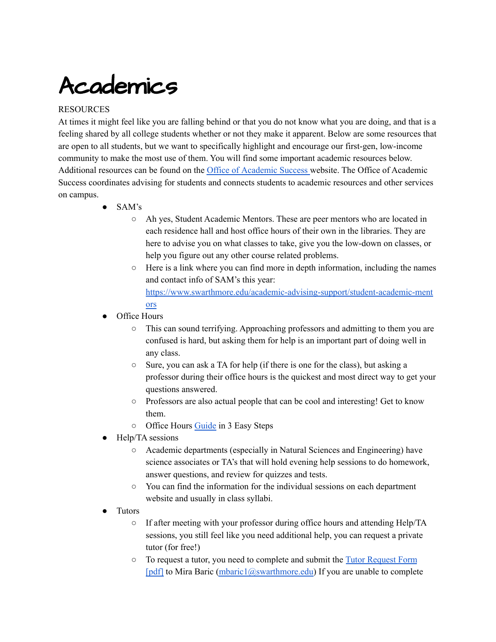### <span id="page-3-0"></span>Academics

#### **RESOURCES**

At times it might feel like you are falling behind or that you do not know what you are doing, and that is a feeling shared by all college students whether or not they make it apparent. Below are some resources that are open to all students, but we want to specifically highlight and encourage our first-gen, low-income community to make the most use of them. You will find some important academic resources below. Additional resources can be found on the Office of [Academic](https://www.swarthmore.edu/office-academic-success) Success website. The Office of Academic Success coordinates advising for students and connects students to academic resources and other services on campus.

- SAM's
	- Ah yes, Student Academic Mentors. These are peer mentors who are located in each residence hall and host office hours of their own in the libraries. They are here to advise you on what classes to take, give you the low-down on classes, or help you figure out any other course related problems.
	- Here is a link where you can find more in depth information, including the names and contact info of SAM's this year: [https://www.swarthmore.edu/academic-advising-support/student-academic-ment](https://www.swarthmore.edu/academic-advising-support/student-academic-mentors) [ors](https://www.swarthmore.edu/academic-advising-support/student-academic-mentors)
- Office Hours
	- This can sound terrifying. Approaching professors and admitting to them you are confused is hard, but asking them for help is an important part of doing well in any class.
	- Sure, you can ask a TA for help (if there is one for the class), but asking a professor during their office hours is the quickest and most direct way to get your questions answered.
	- Professors are also actual people that can be cool and interesting! Get to know them.
	- Office Hours [Guide](https://www.swarthmore.edu/sites/default/files/assets/documents/academic-advising-support/Office%20Hours%20Info%20sheet.pdf) in 3 Easy Steps
- Help/TA sessions
	- Academic departments (especially in Natural Sciences and Engineering) have science associates or TA's that will hold evening help sessions to do homework, answer questions, and review for quizzes and tests.
	- You can find the information for the individual sessions on each department website and usually in class syllabi.
- Tutors
	- If after meeting with your professor during office hours and attending Help/TA sessions, you still feel like you need additional help, you can request a private tutor (for free!)
	- To request a tutor, you need to complete and submit the Tutor [Request](https://www.swarthmore.edu/sites/default/files/assets/documents/academic-advising-support/Tutor%20Request%20Form.pdf) Form [\[pdf\]](https://www.swarthmore.edu/sites/default/files/assets/documents/academic-advising-support/Tutor%20Request%20Form.pdf) to Mira Baric [\(mbaric1@swarthmore.edu\)](mailto:mbaric1@swarthmore.edu) If you are unable to complete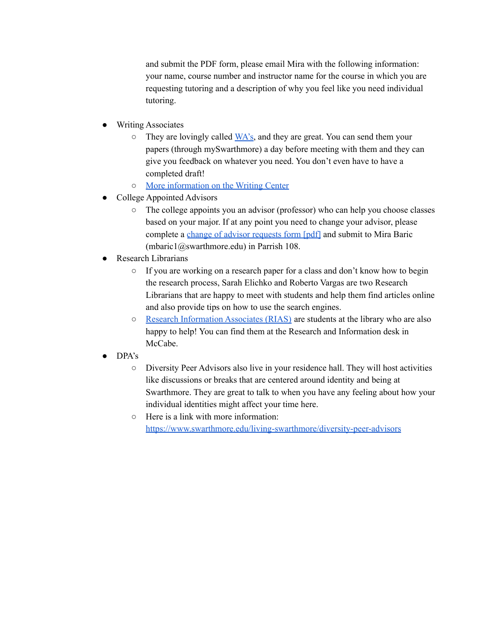and submit the PDF form, please email Mira with the following information: your name, course number and instructor name for the course in which you are requesting tutoring and a description of why you feel like you need individual tutoring.

- **Writing Associates** 
	- $\circ$  They are lovingly called  $\overline{WA}$ 's, and they are great. You can send them your papers (through mySwarthmore) a day before meeting with them and they can give you feedback on whatever you need. You don't even have to have a completed draft!
	- More [information](https://www.swarthmore.edu/writing/writing-center) on the Writing Center
- College Appointed Advisors
	- The college appoints you an advisor (professor) who can help you choose classes based on your major. If at any point you need to change your advisor, please complete a change of advisor [requests](https://www.swarthmore.edu/sites/default/files/assets/documents/academic-advising-support/Advisor_Change_Form.pdf) form [pdf] and submit to Mira Baric (mbaric1@swarthmore.edu) in Parrish 108.
- **Research Librarians** 
	- If you are working on a research paper for a class and don't know how to begin the research process, Sarah Elichko and Roberto Vargas are two Research Librarians that are happy to meet with students and help them find articles online and also provide tips on how to use the search engines.
	- Research [Information](https://www.swarthmore.edu/libraries/research-information-associates-rias) Associates (RIAS) are students at the library who are also happy to help! You can find them at the Research and Information desk in McCabe.
- DPA's
	- Diversity Peer Advisors also live in your residence hall. They will host activities like discussions or breaks that are centered around identity and being at Swarthmore. They are great to talk to when you have any feeling about how your individual identities might affect your time here.
	- Here is a link with more information: <https://www.swarthmore.edu/living-swarthmore/diversity-peer-advisors>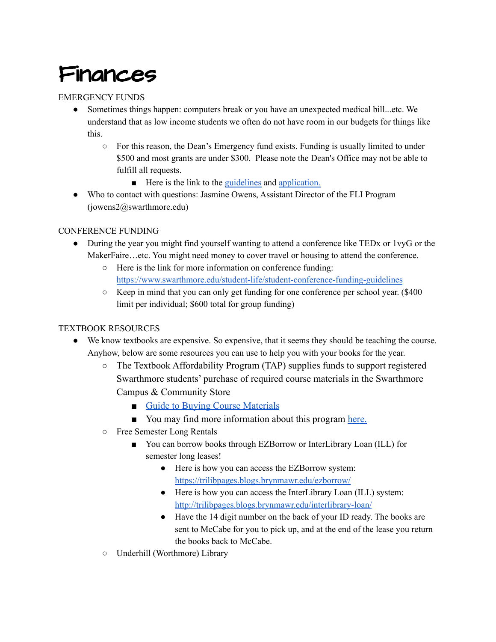### <span id="page-5-0"></span>Finances

#### EMERGENCY FUNDS

- Sometimes things happen: computers break or you have an unexpected medical bill...etc. We understand that as low income students we often do not have room in our budgets for things like this.
	- For this reason, the Dean's Emergency fund exists. Funding is usually limited to under \$500 and most grants are under \$300. Please note the Dean's Office may not be able to fulfill all requests.
		- Here is the link to the [guidelines](https://www.swarthmore.edu/student-life/student-emergency-funding-guidelines) and [application.](https://forms.gle/4H9DyBugAkuG5FuP6)
- Who to contact with questions: Jasmine Owens, Assistant Director of the FLI Program (jowens2@swarthmore.edu)

#### CONFERENCE FUNDING

- During the year you might find yourself wanting to attend a conference like TED<sub>x</sub> or 1 vyG or the MakerFaire…etc. You might need money to cover travel or housing to attend the conference.
	- Here is the link for more information on conference funding: <https://www.swarthmore.edu/student-life/student-conference-funding-guidelines>
	- Keep in mind that you can only get funding for one conference per school year. (\$400 limit per individual; \$600 total for group funding)

#### TEXTBOOK RESOURCES

- We know textbooks are expensive. So expensive, that it seems they should be teaching the course. Anyhow, below are some resources you can use to help you with your books for the year.
	- The Textbook Affordability Program (TAP) supplies funds to support registered Swarthmore students' purchase of required course materials in the Swarthmore Campus & Community Store
		- [Guide to Buying Course Materials](https://store.swarthmore.edu/SiteText?id=88290)
		- You may find more information about this program [here.](https://store.swarthmore.edu/SiteText?id=87397)
	- Free Semester Long Rentals
		- You can borrow books through EZBorrow or InterLibrary Loan (ILL) for semester long leases!
			- Here is how you can access the EZBorrow system: <https://trilibpages.blogs.brynmawr.edu/ezborrow/>
			- Here is how you can access the InterLibrary Loan (ILL) system: <http://trilibpages.blogs.brynmawr.edu/interlibrary-loan/>
			- Have the 14 digit number on the back of your ID ready. The books are sent to McCabe for you to pick up, and at the end of the lease you return the books back to McCabe.
	- Underhill (Worthmore) Library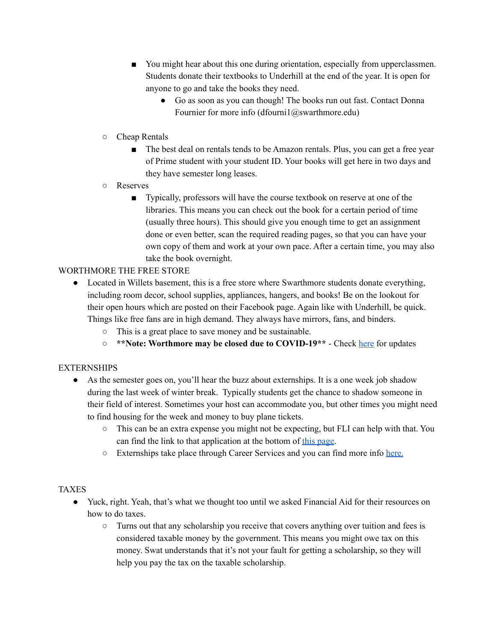- You might hear about this one during orientation, especially from upperclassmen. Students donate their textbooks to Underhill at the end of the year. It is open for anyone to go and take the books they need.
	- Go as soon as you can though! The books run out fast. Contact Donna Fournier for more info  $(d$ fourni $1$ @swarthmore.edu)
- Cheap Rentals
	- The best deal on rentals tends to be Amazon rentals. Plus, you can get a free year of Prime student with your student ID. Your books will get here in two days and they have semester long leases.
- Reserves
	- Typically, professors will have the course textbook on reserve at one of the libraries. This means you can check out the book for a certain period of time (usually three hours). This should give you enough time to get an assignment done or even better, scan the required reading pages, so that you can have your own copy of them and work at your own pace. After a certain time, you may also take the book overnight.

#### WORTHMORE THE FREE STORE

- Located in Willets basement, this is a free store where Swarthmore students donate everything, including room decor, school supplies, appliances, hangers, and books! Be on the lookout for their open hours which are posted on their Facebook page. Again like with Underhill, be quick. Things like free fans are in high demand. They always have mirrors, fans, and binders.
	- This is a great place to save money and be sustainable.
	- **\*\*Note: Worthmore may be closed due to COVID-19\*\*** Check [here](https://www.swarthmore.edu/sustainability/worthmore) for updates

#### **EXTERNSHIPS**

- As the semester goes on, you'll hear the buzz about externships. It is a one week job shadow during the last week of winter break. Typically students get the chance to shadow someone in their field of interest. Sometimes your host can accommodate you, but other times you might need to find housing for the week and money to buy plane tickets.
	- $\circ$  This can be an extra expense you might not be expecting, but FLI can help with that. You can find the link to that application at the bottom of this [page.](https://www.swarthmore.edu/student-life/student-emergency-funding-guidelines)
	- Externships take place through Career Services and you can find more info [here.](https://www.swarthmore.edu/career-services/extern-program-student)

#### TAXES

- Yuck, right. Yeah, that's what we thought too until we asked Financial Aid for their resources on how to do taxes.
	- Turns out that any scholarship you receive that covers anything over tuition and fees is considered taxable money by the government. This means you might owe tax on this money. Swat understands that it's not your fault for getting a scholarship, so they will help you pay the tax on the taxable scholarship.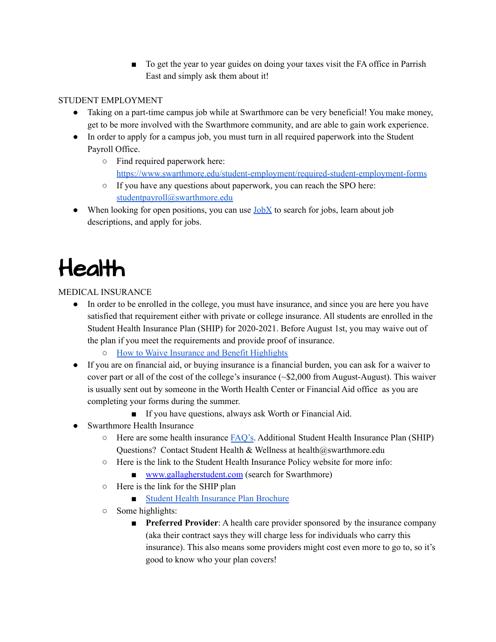■ To get the year to year guides on doing your taxes visit the FA office in Parrish East and simply ask them about it!

#### STUDENT EMPLOYMENT

- Taking on a part-time campus job while at Swarthmore can be very beneficial! You make money, get to be more involved with the Swarthmore community, and are able to gain work experience.
- In order to apply for a campus job, you must turn in all required paperwork into the Student Payroll Office.
	- Find required paperwork here: <https://www.swarthmore.edu/student-employment/required-student-employment-forms>
	- If you have any questions about paperwork, you can reach the SPO here: [studentpayroll@swarthmore.edu](mailto:studentpayroll@swarthmore.edu)
- When looking for open positions, you can use  $JobX$  to search for jobs, learn about job descriptions, and apply for jobs.

### <span id="page-7-0"></span>Health

MEDICAL INSURANCE

- In order to be enrolled in the college, you must have insurance, and since you are here you have satisfied that requirement either with private or college insurance. All students are enrolled in the Student Health Insurance Plan (SHIP) for 2020-2021. Before August 1st, you may waive out of the plan if you meet the requirements and provide proof of insurance.
	- How to Waive Insurance and Benefit [Highlights](https://www.swarthmore.edu/sites/default/files/assets/documents/student-health-and-wellness/2020-21%20Swarthmore%20College%20Student%20Health%20Insurance%20Benefit%20Highlight%20Flyer.pdf)
- If you are on financial aid, or buying insurance is a financial burden, you can ask for a waiver to cover part or all of the cost of the college's insurance (~\$2,000 from August-August). This waiver is usually sent out by someone in the Worth Health Center or Financial Aid office as you are completing your forms during the summer.
	- If you have questions, always ask Worth or Financial Aid.
- Swarthmore Health Insurance
	- Here are some health insurance [FAQ's](https://www.swarthmore.edu/student-health/frequently-asked-questions). Additional Student Health Insurance Plan (SHIP) Questions? Contact Student Health & Wellness at health@swarthmore.edu
	- Here is the link to the Student Health Insurance Policy website for more info:
		- [www.gallagherstudent.com](http://r20.rs6.net/tn.jsp?f=001OyEnuhS_8l9Lg6vdZRZq8C4NvdGV_vwh3WpBzP9CT9A9jQpYsPZzPtVrjcJgUZCWx8CEFNqCjGMjqM82ObNthJrN3EYNbmhAE5qO7GijWPLecmLXd2zxxoGPHAuOjAez6KG15w4t9rtepS7wfDP9YZeOpLFrK0PpyA26ccludqcRfvQlXAZswg==&c=LmcsfPiFVv57G1etgAJVlOIUMjjkYQ69I3KPPVJUnS4wkp1fv887vw==&ch=eYttSTd_ZfxX1E7PYzFQCEmkyXFdD-XGJaueMcAW8KuSxo8O-SOcJA==) (search for Swarthmore)
	- Here is the link for the SHIP plan
		- Student Health [Insurance](https://www.swarthmore.edu/sites/default/files/assets/documents/student-health-and-wellness/2019NGLbrochure.pdf) Plan Brochure
	- Some highlights:
		- **Preferred Provider:** A health care provider sponsored by the insurance company (aka their contract says they will charge less for individuals who carry this insurance). This also means some providers might cost even more to go to, so it's good to know who your plan covers!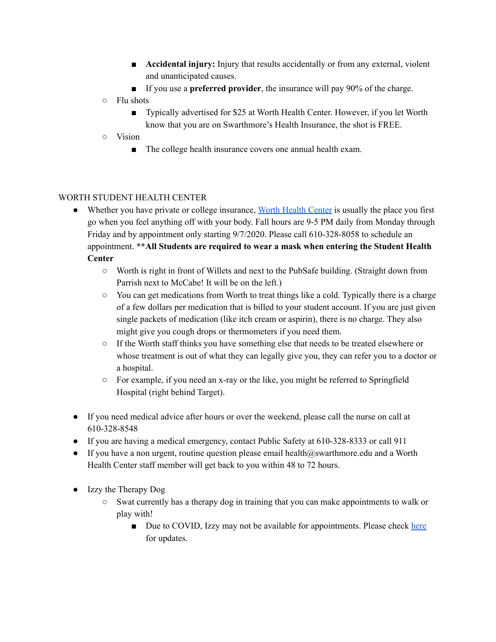- **Accidental injury:** Injury that results accidentally or from any external, violent and unanticipated causes.
- If you use a **preferred provider**, the insurance will pay 90% of the charge.
- Flu shots
	- Typically advertised for \$25 at Worth Health Center. However, if you let Worth know that you are on Swarthmore's Health Insurance, the shot is FREE.
- Vision
	- The college health insurance covers one annual health exam.

#### WORTH STUDENT HEALTH CENTER

- Whether you have private or college insurance, Worth [Health](https://www.swarthmore.edu/student-health-and-wellness) Center is usually the place you first go when you feel anything off with your body. Fall hours are 9-5 PM daily from Monday through Friday and by appointment only starting 9/7/2020. Please call 610-328-8058 to schedule an appointment. **\*\*All Students are required to wear a mask when entering the Student Health Center**
	- **○** Worth is right in front of Willets and next to the PubSafe building. (Straight down from Parrish next to McCabe! It will be on the left.)
	- You can get medications from Worth to treat things like a cold. Typically there is a charge of a few dollars per medication that is billed to your student account. If you are just given single packets of medication (like itch cream or aspirin), there is no charge. They also might give you cough drops or thermometers if you need them.
	- If the Worth staff thinks you have something else that needs to be treated elsewhere or whose treatment is out of what they can legally give you, they can refer you to a doctor or a hospital.
	- $\circ$  For example, if you need an x-ray or the like, you might be referred to Springfield Hospital (right behind Target).
- If you need medical advice after hours or over the weekend, please call the nurse on call at 610-328-8548
- If you are having a medical emergency, contact Public Safety at 610-328-8333 or call 911
- If you have a non urgent, routine question please email health@swarthmore.edu and a Worth Health Center staff member will get back to you within 48 to 72 hours.
- Izzy the Therapy Dog
	- Swat currently has a therapy dog in training that you can make appointments to walk or play with!
		- Due to COVID, Izzy may not be available for appointments. Please check [here](https://www.swarthmore.edu/student-health/izzy-therapy-dog) for updates.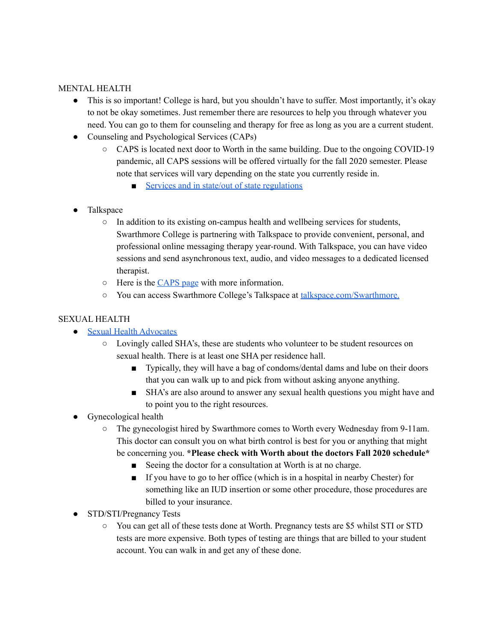#### MENTAL HEALTH

- This is so important! College is hard, but you shouldn't have to suffer. Most importantly, it's okay to not be okay sometimes. Just remember there are resources to help you through whatever you need. You can go to them for counseling and therapy for free as long as you are a current student.
- Counseling and Psychological Services (CAPs)
	- $\circ$  CAPS is located next door to Worth in the same building. Due to the ongoing COVID-19 pandemic, all CAPS sessions will be offered virtually for the fall 2020 semester. Please note that services will vary depending on the state you currently reside in.
		- Services and in state/out of state [regulations](https://www.swarthmore.edu/counseling-and-psychological-services/services)
- **Talkspace** 
	- In addition to its existing on-campus health and wellbeing services for students, Swarthmore College is partnering with Talkspace to provide convenient, personal, and professional online messaging therapy year-round. With Talkspace, you can have video sessions and send asynchronous text, audio, and video messages to a dedicated licensed therapist.
	- Here is the [CAPS](https://www.swarthmore.edu/counseling-and-psychological-services/talkspace) page with more information.
	- You can access Swarthmore College's Talkspace at [talkspace.com/Swarthmore.](https://www.talkspace.com/Swarthmore)

#### SEXUAL HEALTH

- Sexual Health [Advocates](https://www.facebook.com/swarthmoreSHA/)
	- Lovingly called SHA's, these are students who volunteer to be student resources on sexual health. There is at least one SHA per residence hall.
		- Typically, they will have a bag of condoms/dental dams and lube on their doors that you can walk up to and pick from without asking anyone anything.
		- SHA's are also around to answer any sexual health questions you might have and to point you to the right resources.
- Gynecological health
	- The gynecologist hired by Swarthmore comes to Worth every Wednesday from 9-11am. This doctor can consult you on what birth control is best for you or anything that might be concerning you. **\*Please check with Worth about the doctors Fall 2020 schedule\***
		- Seeing the doctor for a consultation at Worth is at no charge.
		- If you have to go to her office (which is in a hospital in nearby Chester) for something like an IUD insertion or some other procedure, those procedures are billed to your insurance.
- STD/STI/Pregnancy Tests
	- You can get all of these tests done at Worth. Pregnancy tests are \$5 whilst STI or STD tests are more expensive. Both types of testing are things that are billed to your student account. You can walk in and get any of these done.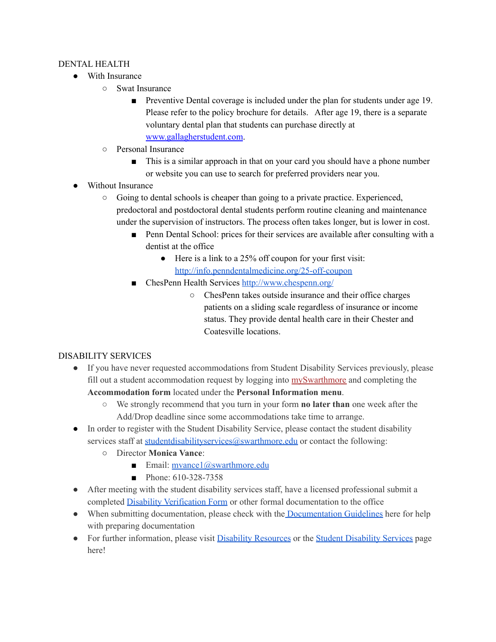#### DENTAL HEALTH

- With Insurance
	- Swat Insurance
		- Preventive Dental coverage is included under the plan for students under age 19. Please refer to the policy brochure for details. After age 19, there is a separate voluntary dental plan that students can purchase directly at [www.gallagherstudent.com](http://r20.rs6.net/tn.jsp?f=001OyEnuhS_8l9Lg6vdZRZq8C4NvdGV_vwh3WpBzP9CT9A9jQpYsPZzPtVrjcJgUZCWx8CEFNqCjGMjqM82ObNthJrN3EYNbmhAE5qO7GijWPLecmLXd2zxxoGPHAuOjAez6KG15w4t9rtepS7wfDP9YZeOpLFrK0PpyA26ccludqcRfvQlXAZswg==&c=QhDn-LIFhKCdoSTq5ohBEzB7VIsdBCE6_afcVrVCN8wrm0ubnYEvrQ==&ch=f5njJRj1P4V_LrCZqFf0fH-5iGflG870Be9VIlEt5LGcHPEZqs9lRQ==).
	- Personal Insurance
		- This is a similar approach in that on your card you should have a phone number or website you can use to search for preferred providers near you.
- Without Insurance
	- Going to dental schools is cheaper than going to a private practice. Experienced, predoctoral and postdoctoral dental students perform routine cleaning and maintenance under the supervision of instructors. The process often takes longer, but is lower in cost.
		- Penn Dental School: prices for their services are available after consulting with a dentist at the office
			- Here is a link to a 25% off coupon for your first visit: <http://info.penndentalmedicine.org/25-off-coupon>
		- ChesPenn Health Services <http://www.chespenn.org/>
			- ChesPenn takes outside insurance and their office charges patients on a sliding scale regardless of insurance or income status. They provide dental health care in their Chester and Coatesville locations.

#### DISABILITY SERVICES

- If you have never requested accommodations from Student Disability Services previously, please fill out a student accommodation request by logging into [mySwarthmore](https://myswat.swarthmore.edu/) and completing the **Accommodation form** located under the **Personal Information menu**.
	- We strongly recommend that you turn in your form **no later than** one week after the Add/Drop deadline since some accommodations take time to arrange.
- In order to register with the Student Disability Service, please contact the student disability services staff at [studentdisabilityservices@swarthmore.edu](mailto:studentdisabilityservices@swarthmore.edu) or contact the following:
	- Director **Monica Vance**:
		- **Email:** [mvance1@swarthmore.edu](mailto:mvance1@swarthmore.edu)
		- Phone: 610-328-7358
- After meeting with the student disability services staff, have a licensed professional submit a completed Disability [Verification](https://www.swarthmore.edu/sites/default/files/assets/documents/user_profiles/jrose2/Disability%20Verification%20Form%20Fillable.pdf) Form or other formal documentation to the office
- When submitting documentation, please check with the [Documentation](https://www.swarthmore.edu/academic-advising-support/documentation-guidelines) Guidelines here for help with preparing documentation
- For further information, please visit Disability [Resources](https://www.swarthmore.edu/academic-advising-support/disability-resources) or the Student [Disability](https://www.swarthmore.edu/academic-advising-support/welcome-to-student-disability-services) Services page here!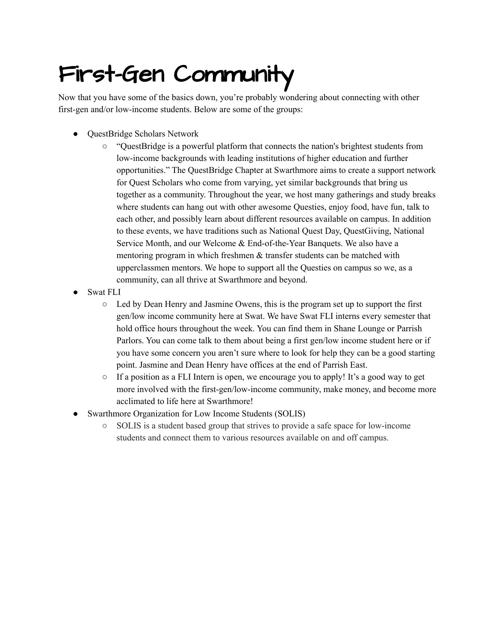### <span id="page-12-0"></span>First-Gen Community

Now that you have some of the basics down, you're probably wondering about connecting with other first-gen and/or low-income students. Below are some of the groups:

- QuestBridge Scholars Network
	- "QuestBridge is a powerful platform that connects the nation's brightest students from low-income backgrounds with leading institutions of higher education and further opportunities." The QuestBridge Chapter at Swarthmore aims to create a support network for Quest Scholars who come from varying, yet similar backgrounds that bring us together as a community. Throughout the year, we host many gatherings and study breaks where students can hang out with other awesome Questies, enjoy food, have fun, talk to each other, and possibly learn about different resources available on campus. In addition to these events, we have traditions such as National Quest Day, QuestGiving, National Service Month, and our Welcome & End-of-the-Year Banquets. We also have a mentoring program in which freshmen & transfer students can be matched with upperclassmen mentors. We hope to support all the Questies on campus so we, as a community, can all thrive at Swarthmore and beyond.
- **Swat FLI** 
	- Led by Dean Henry and Jasmine Owens, this is the program set up to support the first gen/low income community here at Swat. We have Swat FLI interns every semester that hold office hours throughout the week. You can find them in Shane Lounge or Parrish Parlors. You can come talk to them about being a first gen/low income student here or if you have some concern you aren't sure where to look for help they can be a good starting point. Jasmine and Dean Henry have offices at the end of Parrish East.
	- $\circ$  If a position as a FLI Intern is open, we encourage you to apply! It's a good way to get more involved with the first-gen/low-income community, make money, and become more acclimated to life here at Swarthmore!
- **Swarthmore Organization for Low Income Students (SOLIS)** 
	- SOLIS is a student based group that strives to provide a safe space for low-income students and connect them to various resources available on and off campus.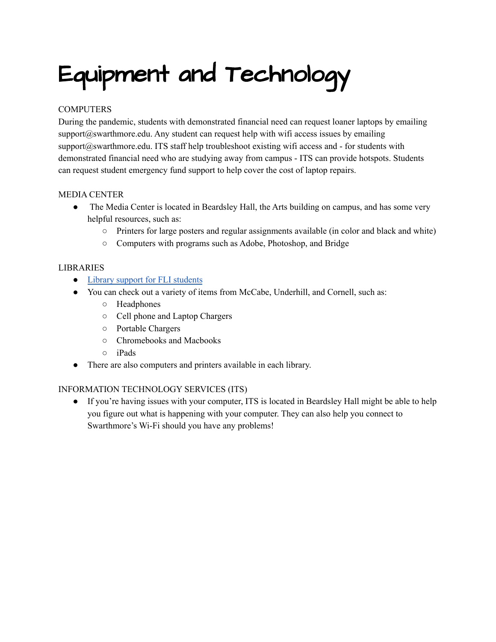## <span id="page-13-0"></span>Equipment and Technology

#### **COMPUTERS**

During the pandemic, students with demonstrated financial need can request loaner laptops by emailing  $support@swarthmore.edu.$  Any student can request help with wifi access issues by emailing support@swarthmore.edu. ITS staff help troubleshoot existing wifi access and - for students with demonstrated financial need who are studying away from campus - ITS can provide hotspots. Students can request student emergency fund support to help cover the cost of laptop repairs.

#### MEDIA CENTER

- The Media Center is located in Beardsley Hall, the Arts building on campus, and has some very helpful resources, such as:
	- Printers for large posters and regular assignments available (in color and black and white)
	- Computers with programs such as Adobe, Photoshop, and Bridge

#### LIBRARIES

- Library support for FLI [students](https://guides.tricolib.brynmawr.edu/fli-support)
- You can check out a variety of items from McCabe, Underhill, and Cornell, such as:
	- Headphones
	- Cell phone and Laptop Chargers
	- Portable Chargers
	- Chromebooks and Macbooks
	- iPads
- There are also computers and printers available in each library.

#### INFORMATION TECHNOLOGY SERVICES (ITS)

● If you're having issues with your computer, ITS is located in Beardsley Hall might be able to help you figure out what is happening with your computer. They can also help you connect to Swarthmore's Wi-Fi should you have any problems!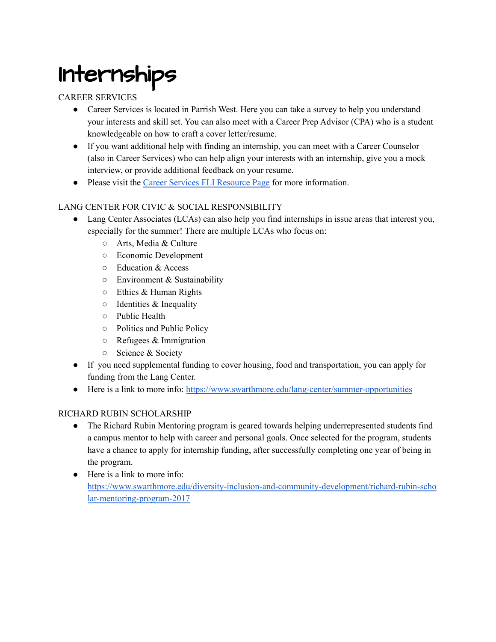### <span id="page-14-0"></span>Internships

#### CAREER SERVICES

- Career Services is located in Parrish West. Here you can take a survey to help you understand your interests and skill set. You can also meet with a Career Prep Advisor (CPA) who is a student knowledgeable on how to craft a cover letter/resume.
- If you want additional help with finding an internship, you can meet with a Career Counselor (also in Career Services) who can help align your interests with an internship, give you a mock interview, or provide additional feedback on your resume.
- Please visit the Career Services FLI [Resource](https://www.swarthmore.edu/career-services/fli-first-generation-low-income) Page for more information.

#### LANG CENTER FOR CIVIC & SOCIAL RESPONSIBILITY

- Lang Center Associates (LCAs) can also help you find internships in issue areas that interest you, especially for the summer! There are multiple LCAs who focus on:
	- Arts, Media & Culture
	- Economic Development
	- Education & Access
	- Environment & Sustainability
	- $\circ$  Ethics & Human Rights
	- $\circ$  Identities & Inequality
	- Public Health
	- Politics and Public Policy
	- $\circ$  Refugees & Immigration
	- Science & Society
- If you need supplemental funding to cover housing, food and transportation, you can apply for funding from the Lang Center.
- Here is a link to more info: <https://www.swarthmore.edu/lang-center/summer-opportunities>

#### RICHARD RUBIN SCHOLARSHIP

- The Richard Rubin Mentoring program is geared towards helping underrepresented students find a campus mentor to help with career and personal goals. Once selected for the program, students have a chance to apply for internship funding, after successfully completing one year of being in the program.
- Here is a link to more info: [https://www.swarthmore.edu/diversity-inclusion-and-community-development/richard-rubin-scho](https://www.swarthmore.edu/diversity-inclusion-and-community-development/richard-rubin-scholar-mentoring-program-2017) [lar-mentoring-program-2017](https://www.swarthmore.edu/diversity-inclusion-and-community-development/richard-rubin-scholar-mentoring-program-2017)